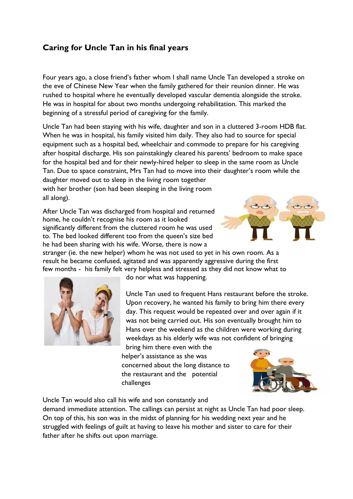## **Caring for Uncle Tan in his final years**

Four years ago, a close friend's father whom I shall name Uncle Tan developed a stroke on the eve of Chinese New Year when the family gathered for their reunion dinner. He was rushed to hospital where he eventually developed vascular dementia alongside the stroke. He was in hospital for about two months undergoing rehabilitation. This marked the beginning of a stressful period of caregiving for the family.

Uncle Tan had been staying with his wife, daughter and son in a cluttered 3-room HDB flat. When he was in hospital, his family visited him daily. They also had to source for special equipment such as a hospital bed, wheelchair and commode to prepare for his caregiving after hospital discharge. His son painstakingly cleared his parents' bedroom to make space for the hospital bed and for their newly-hired helper to sleep in the same room as Uncle Tan. Due to space constraint, Mrs Tan had to move into their daughter's room while the

daughter moved out to sleep in the living room together with her brother (son had been sleeping in the living room all along).

After Uncle Tan was discharged from hospital and returned home, he couldn't recognise his room as it looked significantly different from the cluttered room he was used to. The bed looked different too from the queen's size bed he had been sharing with his wife. Worse, there is now a



stranger (ie. the new helper) whom he was not used to yet in his own room. As a result he became confused, agitated and was apparently aggressive during the first few months - his family felt very helpless and stressed as they did not know what to



do nor what was happening.

Uncle Tan used to frequent Hans restaurant before the stroke. Upon recovery, he wanted his family to bring him there every day. This request would be repeated over and over again if it was not being carried out. His son eventually brought him to Hans over the weekend as the children were working during weekdays as his elderly wife was not confident of bringing

bring him there even with the helper's assistance as she was concerned about the long distance to the restaurant and the potential challenges



Uncle Tan would also call his wife and son constantly and

demand immediate attention. The callings can persist at night as Uncle Tan had poor sleep. On top of this, his son was in the midst of planning for his wedding next year and he struggled with feelings of guilt at having to leave his mother and sister to care for their father after he shifts out upon marriage.